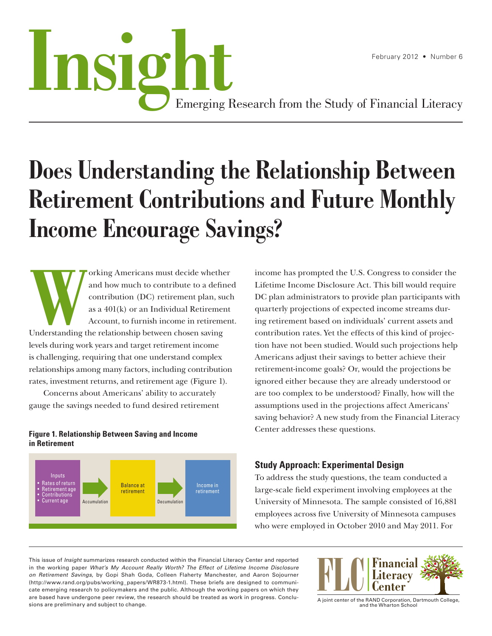# February 2012 • Number 6<br>**Install Strugglering Research from the Study of Financial Literacy**

Emerging Research from the Study of Financial Literacy

# **Does Understanding the Relationship Between Retirement Contributions and Future Monthly Income Encourage Savings?**

orking Americans must decide whether<br>and how much to contribute to a define<br>contribution (DC) retirement plan, such<br>as a 401(k) or an Individual Retirement<br>Account, to furnish income in retirement<br>Understanding the relatio and how much to contribute to a defined contribution (DC) retirement plan, such as a 401(k) or an Individual Retirement Account, to furnish income in retirement. Understanding the relationship between chosen saving levels during work years and target retirement income is challenging, requiring that one understand complex relationships among many factors, including contribution rates, investment returns, and retirement age (Figure 1).

Concerns about Americans' ability to accurately gauge the savings needed to fund desired retirement

# **Figure 1. Relationship Between Saving and Income in Retirement**



income has prompted the U.S. Congress to consider the Lifetime Income Disclosure Act. This bill would require DC plan administrators to provide plan participants with quarterly projections of expected income streams during retirement based on individuals' current assets and contribution rates. Yet the effects of this kind of projection have not been studied. Would such projections help Americans adjust their savings to better achieve their retirement-income goals? Or, would the projections be ignored either because they are already understood or are too complex to be understood? Finally, how will the assumptions used in the projections affect Americans' saving behavior? A new study from the Financial Literacy Center addresses these questions.

# **Study Approach: Experimental Design**

To address the study questions, the team conducted a large-scale field experiment involving employees at the University of Minnesota. The sample consisted of 16,881 employees across five University of Minnesota campuses who were employed in October 2010 and May 2011. For

This issue of *Insight* summarizes research conducted within the Financial Literacy Center and reported in the working paper What's My Account Really Worth? The Effect of Lifetime Income Disclosure on Retirement Savings, by Gopi Shah Goda, Colleen Flaherty Manchester, and Aaron Sojourner [\(http://www.rand.org/pubs/working\\_papers/WR873-1.html\)](http://www.rand.org/pubs/working_papers/WR873-1.html). These briefs are designed to communicate emerging research to policymakers and the public. Although the working papers on which they are based have undergone peer review, the research should be treated as work in progress. Conclusions are preliminary and subject to change.



A joint center of the RAND Corporation, Dartmouth College, and the Wharton School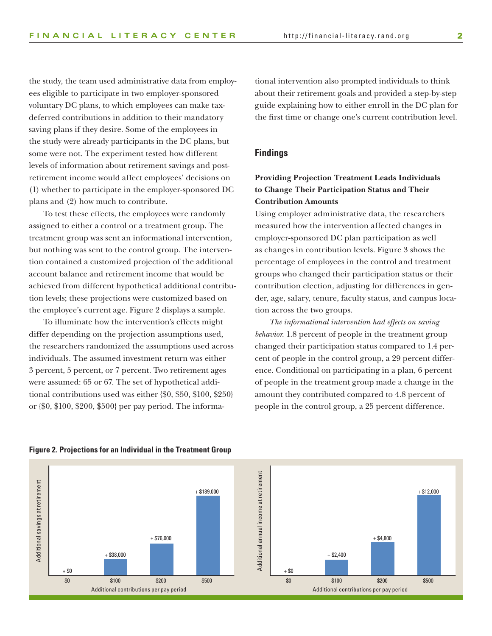the study, the team used administrative data from employees eligible to participate in two employer-sponsored voluntary DC plans, to which employees can make taxdeferred contributions in addition to their mandatory saving plans if they desire. Some of the employees in the study were already participants in the DC plans, but some were not. The experiment tested how different levels of information about retirement savings and postretirement income would affect employees' decisions on (1) whether to participate in the employer-sponsored DC plans and (2) how much to contribute.

To test these effects, the employees were randomly assigned to either a control or a treatment group. The treatment group was sent an informational intervention, but nothing was sent to the control group. The intervention contained a customized projection of the additional account balance and retirement income that would be achieved from different hypothetical additional contribution levels; these projections were customized based on the employee's current age. Figure 2 displays a sample.

To illuminate how the intervention's effects might differ depending on the projection assumptions used, the researchers randomized the assumptions used across individuals. The assumed investment return was either 3 percent, 5 percent, or 7 percent. Two retirement ages were assumed: 65 or 67. The set of hypothetical additional contributions used was either {\$0, \$50, \$100, \$250} or {\$0, \$100, \$200, \$500} per pay period. The informational intervention also prompted individuals to think about their retirement goals and provided a step-by-step guide explaining how to either enroll in the DC plan for the first time or change one's current contribution level.

### **Findings**

# **Providing Projection Treatment Leads Individuals to Change Their Participation Status and Their Contribution Amounts**

Using employer administrative data, the researchers measured how the intervention affected changes in employer-sponsored DC plan participation as well as changes in contribution levels. Figure 3 shows the percentage of employees in the control and treatment groups who changed their participation status or their contribution election, adjusting for differences in gender, age, salary, tenure, faculty status, and campus location across the two groups.

*The informational intervention had effects on saving behavior.* 1.8 percent of people in the treatment group changed their participation status compared to 1.4 percent of people in the control group, a 29 percent difference. Conditional on participating in a plan, 6 percent of people in the treatment group made a change in the amount they contributed compared to 4.8 percent of people in the control group, a 25 percent difference.



#### **Figure 2. Projections for an Individual in the Treatment Group**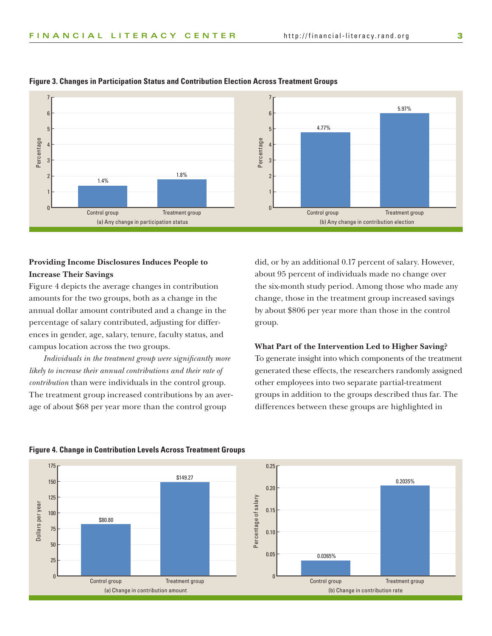

#### **Figure 3. Changes in Participation Status and Contribution Election Across Treatment Groups**

# **Providing Income Disclosures Induces People to Increase Their Savings**

Figure 4 depicts the average changes in contribution amounts for the two groups, both as a change in the annual dollar amount contributed and a change in the percentage of salary contributed, adjusting for differences in gender, age, salary, tenure, faculty status, and campus location across the two groups.

*Individuals in the treatment group were significantly more likely to increase their annual contributions and their rate of contribution* than were individuals in the control group. The treatment group increased contributions by an average of about \$68 per year more than the control group

did, or by an additional 0.17 percent of salary. However, about 95 percent of individuals made no change over the six-month study period. Among those who made any change, those in the treatment group increased savings by about \$806 per year more than those in the control group.

#### **What Part of the Intervention Led to Higher Saving?**

To generate insight into which components of the treatment generated these effects, the researchers randomly assigned other employees into two separate partial-treatment groups in addition to the groups described thus far. The differences between these groups are highlighted in



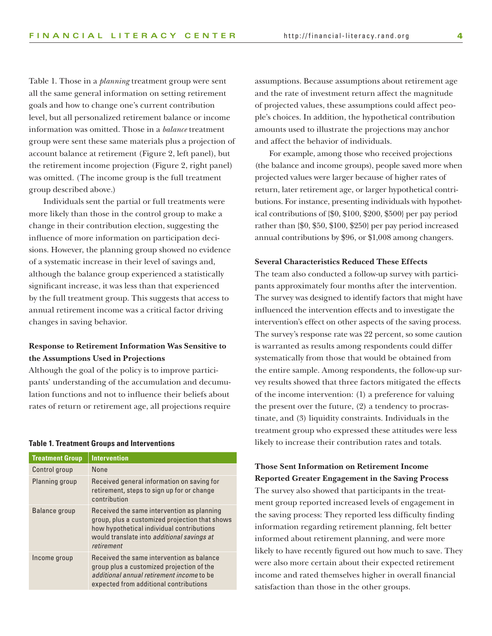Table 1. Those in a *planning* treatment group were sent all the same general information on setting retirement goals and how to change one's current contribution level, but all personalized retirement balance or income information was omitted. Those in a *balance* treatment group were sent these same materials plus a projection of account balance at retirement (Figure 2, left panel), but the retirement income projection (Figure 2, right panel) was omitted. (The income group is the full treatment group described above.)

Individuals sent the partial or full treatments were more likely than those in the control group to make a change in their contribution election, suggesting the influence of more information on participation decisions. However, the planning group showed no evidence of a systematic increase in their level of savings and, although the balance group experienced a statistically significant increase, it was less than that experienced by the full treatment group. This suggests that access to annual retirement income was a critical factor driving changes in saving behavior.

# **Response to Retirement Information Was Sensitive to the Assumptions Used in Projections**

Although the goal of the policy is to improve participants' understanding of the accumulation and decumulation functions and not to influence their beliefs about rates of return or retirement age, all projections require

#### **Table 1. Treatment Groups and Interventions**

| <b>Treatment Group</b> | <b>Intervention</b>                                                                                                                                                                                   |
|------------------------|-------------------------------------------------------------------------------------------------------------------------------------------------------------------------------------------------------|
| Control group          | None                                                                                                                                                                                                  |
| Planning group         | Received general information on saving for<br>retirement, steps to sign up for or change<br>contribution                                                                                              |
| Balance group          | Received the same intervention as planning<br>group, plus a customized projection that shows<br>how hypothetical individual contributions<br>would translate into additional savings at<br>retirement |
| Income group           | Received the same intervention as balance<br>group plus a customized projection of the<br>additional annual retirement income to be<br>expected from additional contributions                         |

assumptions. Because assumptions about retirement age and the rate of investment return affect the magnitude of projected values, these assumptions could affect people's choices. In addition, the hypothetical contribution amounts used to illustrate the projections may anchor and affect the behavior of individuals.

For example, among those who received projections (the balance and income groups), people saved more when projected values were larger because of higher rates of return, later retirement age, or larger hypothetical contributions. For instance, presenting individuals with hypothetical contributions of {\$0, \$100, \$200, \$500} per pay period rather than {\$0, \$50, \$100, \$250} per pay period increased annual contributions by \$96, or \$1,008 among changers.

#### **Several Characteristics Reduced These Effects**

The team also conducted a follow-up survey with participants approximately four months after the intervention. The survey was designed to identify factors that might have influenced the intervention effects and to investigate the intervention's effect on other aspects of the saving process. The survey's response rate was 22 percent, so some caution is warranted as results among respondents could differ systematically from those that would be obtained from the entire sample. Among respondents, the follow-up survey results showed that three factors mitigated the effects of the income intervention: (1) a preference for valuing the present over the future, (2) a tendency to procrastinate, and (3) liquidity constraints. Individuals in the treatment group who expressed these attitudes were less likely to increase their contribution rates and totals.

# **Those Sent Information on Retirement Income Reported Greater Engagement in the Saving Process**  The survey also showed that participants in the treatment group reported increased levels of engagement in the saving process: They reported less difficulty finding information regarding retirement planning, felt better informed about retirement planning, and were more likely to have recently figured out how much to save. They were also more certain about their expected retirement income and rated themselves higher in overall financial satisfaction than those in the other groups.